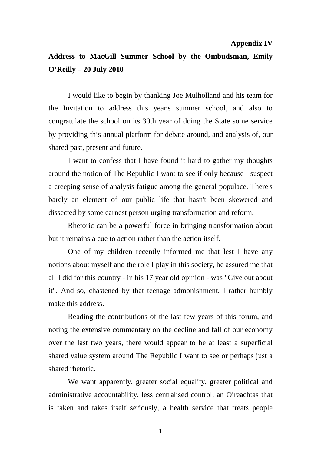## **Appendix IV**

## **Address to MacGill Summer School by the Ombudsman, Emily O'Reilly – 20 July 2010**

I would like to begin by thanking Joe Mulholland and his team for the Invitation to address this year's summer school, and also to congratulate the school on its 30th year of doing the State some service by providing this annual platform for debate around, and analysis of, our shared past, present and future.

I want to confess that I have found it hard to gather my thoughts around the notion of The Republic I want to see if only because I suspect a creeping sense of analysis fatigue among the general populace. There's barely an element of our public life that hasn't been skewered and dissected by some earnest person urging transformation and reform.

Rhetoric can be a powerful force in bringing transformation about but it remains a cue to action rather than the action itself.

One of my children recently informed me that lest I have any notions about myself and the role I play in this society, he assured me that all I did for this country - in his 17 year old opinion - was "Give out about it". And so, chastened by that teenage admonishment, I rather humbly make this address.

Reading the contributions of the last few years of this forum, and noting the extensive commentary on the decline and fall of our economy over the last two years, there would appear to be at least a superficial shared value system around The Republic I want to see or perhaps just a shared rhetoric.

We want apparently, greater social equality, greater political and administrative accountability, less centralised control, an Oireachtas that is taken and takes itself seriously, a health service that treats people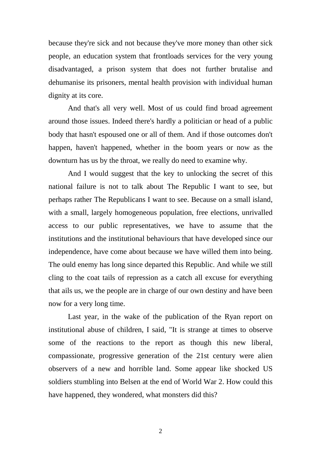because they're sick and not because they've more money than other sick people, an education system that frontloads services for the very young disadvantaged, a prison system that does not further brutalise and dehumanise its prisoners, mental health provision with individual human dignity at its core.

And that's all very well. Most of us could find broad agreement around those issues. Indeed there's hardly a politician or head of a public body that hasn't espoused one or all of them. And if those outcomes don't happen, haven't happened, whether in the boom years or now as the downturn has us by the throat, we really do need to examine why.

And I would suggest that the key to unlocking the secret of this national failure is not to talk about The Republic I want to see, but perhaps rather The Republicans I want to see. Because on a small island, with a small, largely homogeneous population, free elections, unrivalled access to our public representatives, we have to assume that the institutions and the institutional behaviours that have developed since our independence, have come about because we have willed them into being. The ould enemy has long since departed this Republic. And while we still cling to the coat tails of repression as a catch all excuse for everything that ails us, we the people are in charge of our own destiny and have been now for a very long time.

Last year, in the wake of the publication of the Ryan report on institutional abuse of children, I said, "It is strange at times to observe some of the reactions to the report as though this new liberal, compassionate, progressive generation of the 21st century were alien observers of a new and horrible land. Some appear like shocked US soldiers stumbling into Belsen at the end of World War 2. How could this have happened, they wondered, what monsters did this?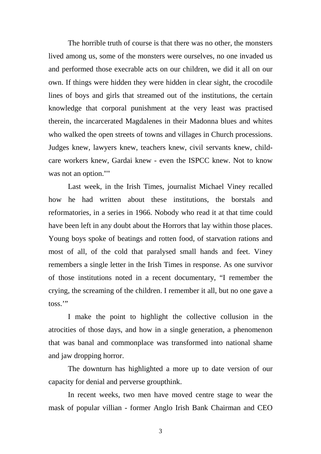The horrible truth of course is that there was no other, the monsters lived among us, some of the monsters were ourselves, no one invaded us and performed those execrable acts on our children, we did it all on our own. If things were hidden they were hidden in clear sight, the crocodile lines of boys and girls that streamed out of the institutions, the certain knowledge that corporal punishment at the very least was practised therein, the incarcerated Magdalenes in their Madonna blues and whites who walked the open streets of towns and villages in Church processions. Judges knew, lawyers knew, teachers knew, civil servants knew, childcare workers knew, Gardai knew - even the ISPCC knew. Not to know was not an option.""

Last week, in the Irish Times, journalist Michael Viney recalled how he had written about these institutions, the borstals and reformatories, in a series in 1966. Nobody who read it at that time could have been left in any doubt about the Horrors that lay within those places. Young boys spoke of beatings and rotten food, of starvation rations and most of all, of the cold that paralysed small hands and feet. Viney remembers a single letter in the Irish Times in response. As one survivor of those institutions noted in a recent documentary, "I remember the crying, the screaming of the children. I remember it all, but no one gave a toss.'"

I make the point to highlight the collective collusion in the atrocities of those days, and how in a single generation, a phenomenon that was banal and commonplace was transformed into national shame and jaw dropping horror.

The downturn has highlighted a more up to date version of our capacity for denial and perverse groupthink.

In recent weeks, two men have moved centre stage to wear the mask of popular villian - former Anglo Irish Bank Chairman and CEO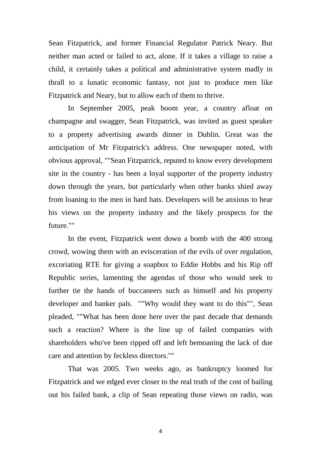Sean Fitzpatrick, and former Financial Regulator Patrick Neary. But neither man acted or failed to act, alone. If it takes a village to raise a child, it certainly takes a political and administrative system madly in thrall to a lunatic economic fantasy, not just to produce men like Fitzpatrick and Neary, but to allow each of them to thrive.

In September 2005, peak boom year, a country afloat on champagne and swagger, Sean Fitzpatrick, was invited as guest speaker to a property advertising awards dinner in Dublin. Great was the anticipation of Mr Fitzpatrick's address. One newspaper noted, with obvious approval, ""Sean Fitzpatrick, reputed to know every development site in the country - has been a loyal supporter of the property industry down through the years, but particularly when other banks shied away from loaning to the men in hard hats. Developers will be anxious to hear his views on the property industry and the likely prospects for the future.""

In the event, Fitzpatrick went down a bomb with the 400 strong crowd, wowing them with an evisceration of the evils of over regulation, excoriating RTE for giving a soapbox to Eddie Hobbs and his Rip off Republic series, lamenting the agendas of those who would seek to further tie the hands of buccaneers such as himself and his property developer and banker pals. ""Why would they want to do this"", Sean pleaded, ""What has been done here over the past decade that demands such a reaction? Where is the line up of failed companies with shareholders who've been ripped off and left bemoaning the lack of due care and attention by feckless directors.""

That was 2005. Two weeks ago, as bankruptcy loomed for Fitzpatrick and we edged ever closer to the real truth of the cost of bailing out his failed bank, a clip of Sean repeating those views on radio, was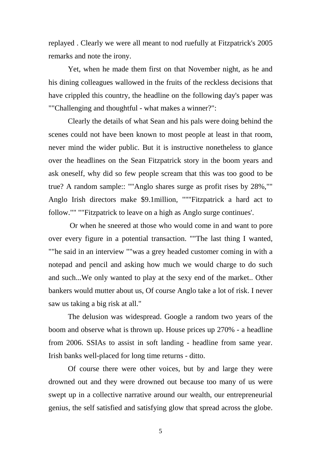replayed . Clearly we were all meant to nod ruefully at Fitzpatrick's 2005 remarks and note the irony.

Yet, when he made them first on that November night, as he and his dining colleagues wallowed in the fruits of the reckless decisions that have crippled this country, the headline on the following day's paper was ""Challenging and thoughtful - what makes a winner?":

Clearly the details of what Sean and his pals were doing behind the scenes could not have been known to most people at least in that room, never mind the wider public. But it is instructive nonetheless to glance over the headlines on the Sean Fitzpatrick story in the boom years and ask oneself, why did so few people scream that this was too good to be true? A random sample:: ""Anglo shares surge as profit rises by 28%,"" Anglo Irish directors make \$9.1million, """Fitzpatrick a hard act to follow."" ""Fitzpatrick to leave on a high as Anglo surge continues'.

 Or when he sneered at those who would come in and want to pore over every figure in a potential transaction. ""The last thing I wanted, ""he said in an interview ""was a grey headed customer coming in with a notepad and pencil and asking how much we would charge to do such and such...We only wanted to play at the sexy end of the market.. Other bankers would mutter about us, Of course Anglo take a lot of risk. I never saw us taking a big risk at all."

The delusion was widespread. Google a random two years of the boom and observe what is thrown up. House prices up 270% - a headline from 2006. SSIAs to assist in soft landing - headline from same year. Irish banks well-placed for long time returns - ditto.

Of course there were other voices, but by and large they were drowned out and they were drowned out because too many of us were swept up in a collective narrative around our wealth, our entrepreneurial genius, the self satisfied and satisfying glow that spread across the globe.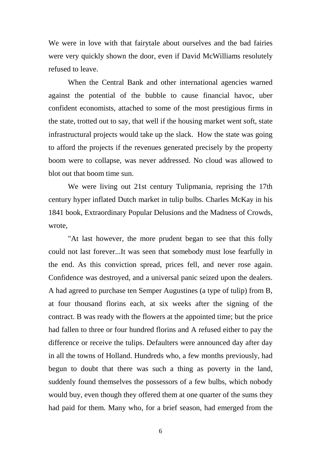We were in love with that fairytale about ourselves and the bad fairies were very quickly shown the door, even if David McWilliams resolutely refused to leave.

When the Central Bank and other international agencies warned against the potential of the bubble to cause financial havoc, uber confident economists, attached to some of the most prestigious firms in the state, trotted out to say, that well if the housing market went soft, state infrastructural projects would take up the slack. How the state was going to afford the projects if the revenues generated precisely by the property boom were to collapse, was never addressed. No cloud was allowed to blot out that boom time sun.

We were living out 21st century Tulipmania, reprising the 17th century hyper inflated Dutch market in tulip bulbs. Charles McKay in his 1841 book, Extraordinary Popular Delusions and the Madness of Crowds, wrote,

"At last however, the more prudent began to see that this folly could not last forever...It was seen that somebody must lose fearfully in the end. As this conviction spread, prices fell, and never rose again. Confidence was destroyed, and a universal panic seized upon the dealers. A had agreed to purchase ten Semper Augustines (a type of tulip) from B, at four thousand florins each, at six weeks after the signing of the contract. B was ready with the flowers at the appointed time; but the price had fallen to three or four hundred florins and A refused either to pay the difference or receive the tulips. Defaulters were announced day after day in all the towns of Holland. Hundreds who, a few months previously, had begun to doubt that there was such a thing as poverty in the land, suddenly found themselves the possessors of a few bulbs, which nobody would buy, even though they offered them at one quarter of the sums they had paid for them. Many who, for a brief season, had emerged from the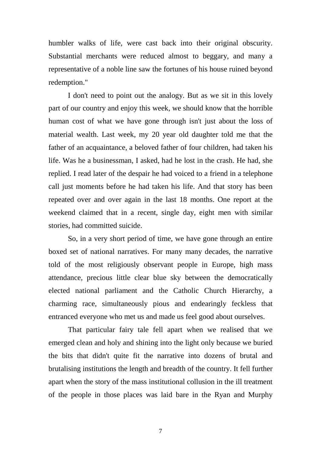humbler walks of life, were cast back into their original obscurity. Substantial merchants were reduced almost to beggary, and many a representative of a noble line saw the fortunes of his house ruined beyond redemption."

I don't need to point out the analogy. But as we sit in this lovely part of our country and enjoy this week, we should know that the horrible human cost of what we have gone through isn't just about the loss of material wealth. Last week, my 20 year old daughter told me that the father of an acquaintance, a beloved father of four children, had taken his life. Was he a businessman, I asked, had he lost in the crash. He had, she replied. I read later of the despair he had voiced to a friend in a telephone call just moments before he had taken his life. And that story has been repeated over and over again in the last 18 months. One report at the weekend claimed that in a recent, single day, eight men with similar stories, had committed suicide.

So, in a very short period of time, we have gone through an entire boxed set of national narratives. For many many decades, the narrative told of the most religiously observant people in Europe, high mass attendance, precious little clear blue sky between the democratically elected national parliament and the Catholic Church Hierarchy, a charming race, simultaneously pious and endearingly feckless that entranced everyone who met us and made us feel good about ourselves.

That particular fairy tale fell apart when we realised that we emerged clean and holy and shining into the light only because we buried the bits that didn't quite fit the narrative into dozens of brutal and brutalising institutions the length and breadth of the country. It fell further apart when the story of the mass institutional collusion in the ill treatment of the people in those places was laid bare in the Ryan and Murphy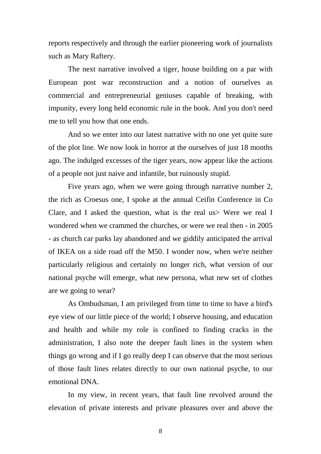reports respectively and through the earlier pioneering work of journalists such as Mary Raftery.

The next narrative involved a tiger, house building on a par with European post war reconstruction and a notion of ourselves as commercial and entrepreneurial geniuses capable of breaking, with impunity, every long held economic rule in the book. And you don't need me to tell you how that one ends.

And so we enter into our latest narrative with no one yet quite sure of the plot line. We now look in horror at the ourselves of just 18 months ago. The indulged excesses of the tiger years, now appear like the actions of a people not just naive and infantile, but ruinously stupid.

Five years ago, when we were going through narrative number 2, the rich as Croesus one, I spoke at the annual Ceifin Conference in Co Clare, and I asked the question, what is the real us> Were we real I wondered when we crammed the churches, or were we real then - in 2005 - as church car parks lay abandoned and we giddily anticipated the arrival of IKEA on a side road off the M50. I wonder now, when we're neither particularly religious and certainly no longer rich, what version of our national psyche will emerge, what new persona, what new set of clothes are we going to wear?

As Ombudsman, I am privileged from time to time to have a bird's eye view of our little piece of the world; I observe housing, and education and health and while my role is confined to finding cracks in the administration, I also note the deeper fault lines in the system when things go wrong and if I go really deep I can observe that the most serious of those fault lines relates directly to our own national psyche, to our emotional DNA.

In my view, in recent years, that fault line revolved around the elevation of private interests and private pleasures over and above the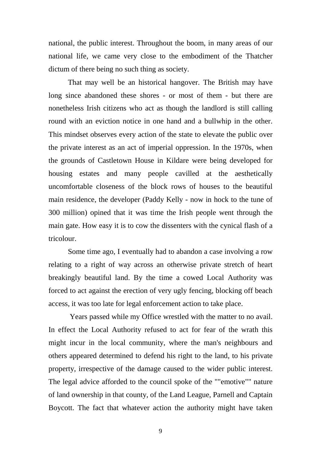national, the public interest. Throughout the boom, in many areas of our national life, we came very close to the embodiment of the Thatcher dictum of there being no such thing as society.

That may well be an historical hangover. The British may have long since abandoned these shores - or most of them - but there are nonetheless Irish citizens who act as though the landlord is still calling round with an eviction notice in one hand and a bullwhip in the other. This mindset observes every action of the state to elevate the public over the private interest as an act of imperial oppression. In the 1970s, when the grounds of Castletown House in Kildare were being developed for housing estates and many people cavilled at the aesthetically uncomfortable closeness of the block rows of houses to the beautiful main residence, the developer (Paddy Kelly - now in hock to the tune of 300 million) opined that it was time the Irish people went through the main gate. How easy it is to cow the dissenters with the cynical flash of a tricolour.

Some time ago, I eventually had to abandon a case involving a row relating to a right of way across an otherwise private stretch of heart breakingly beautiful land. By the time a cowed Local Authority was forced to act against the erection of very ugly fencing, blocking off beach access, it was too late for legal enforcement action to take place.

 Years passed while my Office wrestled with the matter to no avail. In effect the Local Authority refused to act for fear of the wrath this might incur in the local community, where the man's neighbours and others appeared determined to defend his right to the land, to his private property, irrespective of the damage caused to the wider public interest. The legal advice afforded to the council spoke of the ""emotive"" nature of land ownership in that county, of the Land League, Parnell and Captain Boycott. The fact that whatever action the authority might have taken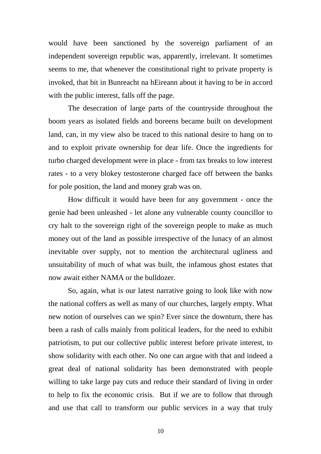would have been sanctioned by the sovereign parliament of an independent sovereign republic was, apparently, irrelevant. It sometimes seems to me, that whenever the constitutional right to private property is invoked, that bit in Bunreacht na hEireann about it having to be in accord with the public interest, falls off the page.

The desecration of large parts of the countryside throughout the boom years as isolated fields and boreens became built on development land, can, in my view also be traced to this national desire to hang on to and to exploit private ownership for dear life. Once the ingredients for turbo charged development were in place - from tax breaks to low interest rates - to a very blokey testosterone charged face off between the banks for pole position, the land and money grab was on.

How difficult it would have been for any government - once the genie had been unleashed - let alone any vulnerable county councillor to cry halt to the sovereign right of the sovereign people to make as much money out of the land as possible irrespective of the lunacy of an almost inevitable over supply, not to mention the architectural ugliness and unsuitability of much of what was built, the infamous ghost estates that now await either NAMA or the bulldozer.

So, again, what is our latest narrative going to look like with now the national coffers as well as many of our churches, largely empty. What new notion of ourselves can we spin? Ever since the downturn, there has been a rash of calls mainly from political leaders, for the need to exhibit patriotism, to put our collective public interest before private interest, to show solidarity with each other. No one can argue with that and indeed a great deal of national solidarity has been demonstrated with people willing to take large pay cuts and reduce their standard of living in order to help to fix the economic crisis. But if we are to follow that through and use that call to transform our public services in a way that truly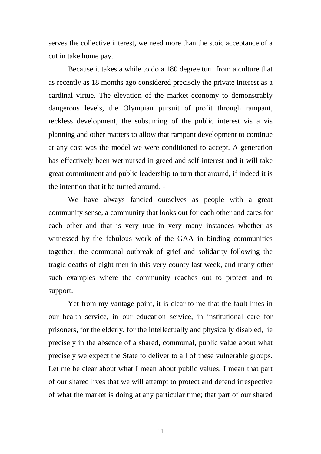serves the collective interest, we need more than the stoic acceptance of a cut in take home pay.

Because it takes a while to do a 180 degree turn from a culture that as recently as 18 months ago considered precisely the private interest as a cardinal virtue. The elevation of the market economy to demonstrably dangerous levels, the Olympian pursuit of profit through rampant, reckless development, the subsuming of the public interest vis a vis planning and other matters to allow that rampant development to continue at any cost was the model we were conditioned to accept. A generation has effectively been wet nursed in greed and self-interest and it will take great commitment and public leadership to turn that around, if indeed it is the intention that it be turned around. -

We have always fancied ourselves as people with a great community sense, a community that looks out for each other and cares for each other and that is very true in very many instances whether as witnessed by the fabulous work of the GAA in binding communities together, the communal outbreak of grief and solidarity following the tragic deaths of eight men in this very county last week, and many other such examples where the community reaches out to protect and to support.

Yet from my vantage point, it is clear to me that the fault lines in our health service, in our education service, in institutional care for prisoners, for the elderly, for the intellectually and physically disabled, lie precisely in the absence of a shared, communal, public value about what precisely we expect the State to deliver to all of these vulnerable groups. Let me be clear about what I mean about public values; I mean that part of our shared lives that we will attempt to protect and defend irrespective of what the market is doing at any particular time; that part of our shared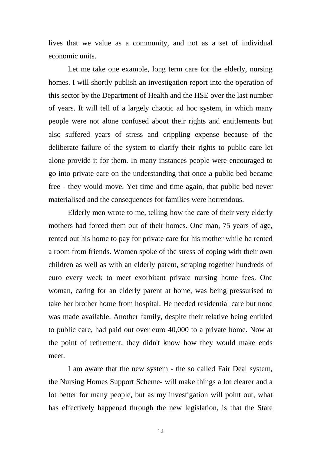lives that we value as a community, and not as a set of individual economic units.

Let me take one example, long term care for the elderly, nursing homes. I will shortly publish an investigation report into the operation of this sector by the Department of Health and the HSE over the last number of years. It will tell of a largely chaotic ad hoc system, in which many people were not alone confused about their rights and entitlements but also suffered years of stress and crippling expense because of the deliberate failure of the system to clarify their rights to public care let alone provide it for them. In many instances people were encouraged to go into private care on the understanding that once a public bed became free - they would move. Yet time and time again, that public bed never materialised and the consequences for families were horrendous.

Elderly men wrote to me, telling how the care of their very elderly mothers had forced them out of their homes. One man, 75 years of age, rented out his home to pay for private care for his mother while he rented a room from friends. Women spoke of the stress of coping with their own children as well as with an elderly parent, scraping together hundreds of euro every week to meet exorbitant private nursing home fees. One woman, caring for an elderly parent at home, was being pressurised to take her brother home from hospital. He needed residential care but none was made available. Another family, despite their relative being entitled to public care, had paid out over euro 40,000 to a private home. Now at the point of retirement, they didn't know how they would make ends meet.

I am aware that the new system - the so called Fair Deal system, the Nursing Homes Support Scheme- will make things a lot clearer and a lot better for many people, but as my investigation will point out, what has effectively happened through the new legislation, is that the State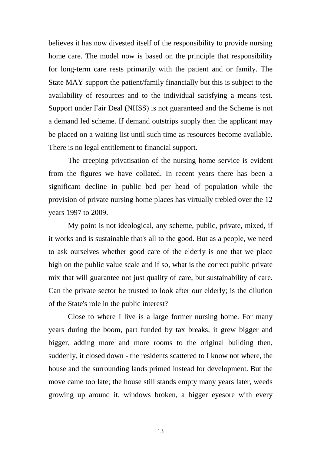believes it has now divested itself of the responsibility to provide nursing home care. The model now is based on the principle that responsibility for long-term care rests primarily with the patient and or family. The State MAY support the patient/family financially but this is subject to the availability of resources and to the individual satisfying a means test. Support under Fair Deal (NHSS) is not guaranteed and the Scheme is not a demand led scheme. If demand outstrips supply then the applicant may be placed on a waiting list until such time as resources become available. There is no legal entitlement to financial support.

The creeping privatisation of the nursing home service is evident from the figures we have collated. In recent years there has been a significant decline in public bed per head of population while the provision of private nursing home places has virtually trebled over the 12 years 1997 to 2009.

My point is not ideological, any scheme, public, private, mixed, if it works and is sustainable that's all to the good. But as a people, we need to ask ourselves whether good care of the elderly is one that we place high on the public value scale and if so, what is the correct public private mix that will guarantee not just quality of care, but sustainability of care. Can the private sector be trusted to look after our elderly; is the dilution of the State's role in the public interest?

Close to where I live is a large former nursing home. For many years during the boom, part funded by tax breaks, it grew bigger and bigger, adding more and more rooms to the original building then, suddenly, it closed down - the residents scattered to I know not where, the house and the surrounding lands primed instead for development. But the move came too late; the house still stands empty many years later, weeds growing up around it, windows broken, a bigger eyesore with every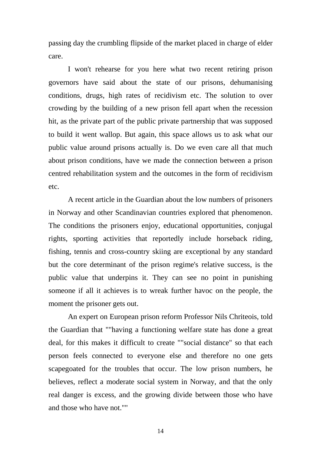passing day the crumbling flipside of the market placed in charge of elder care.

I won't rehearse for you here what two recent retiring prison governors have said about the state of our prisons, dehumanising conditions, drugs, high rates of recidivism etc. The solution to over crowding by the building of a new prison fell apart when the recession hit, as the private part of the public private partnership that was supposed to build it went wallop. But again, this space allows us to ask what our public value around prisons actually is. Do we even care all that much about prison conditions, have we made the connection between a prison centred rehabilitation system and the outcomes in the form of recidivism etc.

A recent article in the Guardian about the low numbers of prisoners in Norway and other Scandinavian countries explored that phenomenon. The conditions the prisoners enjoy, educational opportunities, conjugal rights, sporting activities that reportedly include horseback riding, fishing, tennis and cross-country skiing are exceptional by any standard but the core determinant of the prison regime's relative success, is the public value that underpins it. They can see no point in punishing someone if all it achieves is to wreak further havoc on the people, the moment the prisoner gets out.

An expert on European prison reform Professor Nils Chriteois, told the Guardian that ""having a functioning welfare state has done a great deal, for this makes it difficult to create ""social distance" so that each person feels connected to everyone else and therefore no one gets scapegoated for the troubles that occur. The low prison numbers, he believes, reflect a moderate social system in Norway, and that the only real danger is excess, and the growing divide between those who have and those who have not.""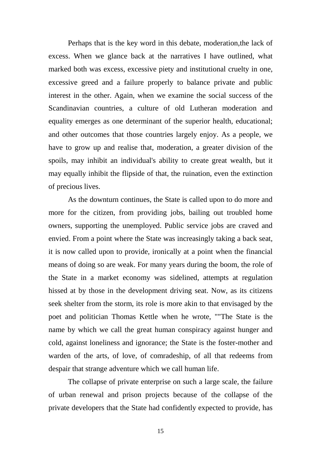Perhaps that is the key word in this debate, moderation,the lack of excess. When we glance back at the narratives I have outlined, what marked both was excess, excessive piety and institutional cruelty in one, excessive greed and a failure properly to balance private and public interest in the other. Again, when we examine the social success of the Scandinavian countries, a culture of old Lutheran moderation and equality emerges as one determinant of the superior health, educational; and other outcomes that those countries largely enjoy. As a people, we have to grow up and realise that, moderation, a greater division of the spoils, may inhibit an individual's ability to create great wealth, but it may equally inhibit the flipside of that, the ruination, even the extinction of precious lives.

As the downturn continues, the State is called upon to do more and more for the citizen, from providing jobs, bailing out troubled home owners, supporting the unemployed. Public service jobs are craved and envied. From a point where the State was increasingly taking a back seat, it is now called upon to provide, ironically at a point when the financial means of doing so are weak. For many years during the boom, the role of the State in a market economy was sidelined, attempts at regulation hissed at by those in the development driving seat. Now, as its citizens seek shelter from the storm, its role is more akin to that envisaged by the poet and politician Thomas Kettle when he wrote, ""The State is the name by which we call the great human conspiracy against hunger and cold, against loneliness and ignorance; the State is the foster-mother and warden of the arts, of love, of comradeship, of all that redeems from despair that strange adventure which we call human life.

The collapse of private enterprise on such a large scale, the failure of urban renewal and prison projects because of the collapse of the private developers that the State had confidently expected to provide, has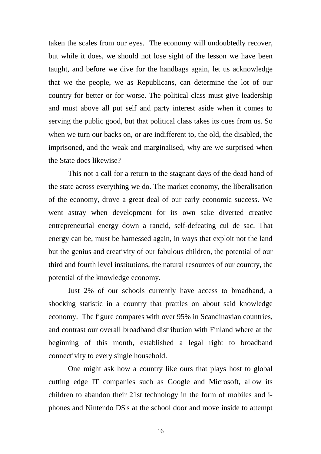taken the scales from our eyes. The economy will undoubtedly recover, but while it does, we should not lose sight of the lesson we have been taught, and before we dive for the handbags again, let us acknowledge that we the people, we as Republicans, can determine the lot of our country for better or for worse. The political class must give leadership and must above all put self and party interest aside when it comes to serving the public good, but that political class takes its cues from us. So when we turn our backs on, or are indifferent to, the old, the disabled, the imprisoned, and the weak and marginalised, why are we surprised when the State does likewise?

This not a call for a return to the stagnant days of the dead hand of the state across everything we do. The market economy, the liberalisation of the economy, drove a great deal of our early economic success. We went astray when development for its own sake diverted creative entrepreneurial energy down a rancid, self-defeating cul de sac. That energy can be, must be harnessed again, in ways that exploit not the land but the genius and creativity of our fabulous children, the potential of our third and fourth level institutions, the natural resources of our country, the potential of the knowledge economy.

Just 2% of our schools currently have access to broadband, a shocking statistic in a country that prattles on about said knowledge economy. The figure compares with over 95% in Scandinavian countries, and contrast our overall broadband distribution with Finland where at the beginning of this month, established a legal right to broadband connectivity to every single household.

One might ask how a country like ours that plays host to global cutting edge IT companies such as Google and Microsoft, allow its children to abandon their 21st technology in the form of mobiles and iphones and Nintendo DS's at the school door and move inside to attempt